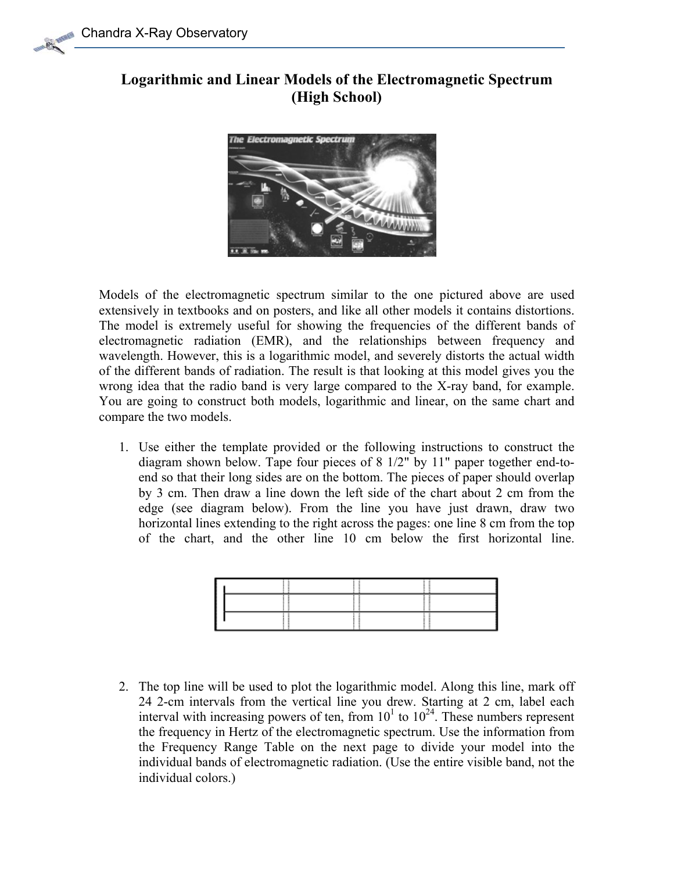## **Logarithmic and Linear Models of the Electromagnetic Spectrum (High School)**



Models of the electromagnetic spectrum similar to the one pictured above are used extensively in textbooks and on posters, and like all other models it contains distortions. The model is extremely useful for showing the frequencies of the different bands of electromagnetic radiation (EMR), and the relationships between frequency and wavelength. However, this is a logarithmic model, and severely distorts the actual width of the different bands of radiation. The result is that looking at this model gives you the wrong idea that the radio band is very large compared to the X-ray band, for example. You are going to construct both models, logarithmic and linear, on the same chart and compare the two models.

of the chart, and the other line 10 cm below the first horizontal line. 1. Use either the template provided or the following instructions to construct the diagram shown below. Tape four pieces of 8 1/2" by 11" paper together end-toend so that their long sides are on the bottom. The pieces of paper should overlap by 3 cm. Then draw a line down the left side of the chart about 2 cm from the edge (see diagram below). From the line you have just drawn, draw two horizontal lines extending to the right across the pages: one line 8 cm from the top

|  |  |  |  |  |  |  | of the chart, and the other line 10 cm below the first horizontal line.               |  |
|--|--|--|--|--|--|--|---------------------------------------------------------------------------------------|--|
|  |  |  |  |  |  |  |                                                                                       |  |
|  |  |  |  |  |  |  |                                                                                       |  |
|  |  |  |  |  |  |  |                                                                                       |  |
|  |  |  |  |  |  |  |                                                                                       |  |
|  |  |  |  |  |  |  |                                                                                       |  |
|  |  |  |  |  |  |  |                                                                                       |  |
|  |  |  |  |  |  |  |                                                                                       |  |
|  |  |  |  |  |  |  | 2. The top line will be used to plot the logarithmic model. Along this line, mark off |  |

24 2-cm intervals from the vertical line you drew. Starting at 2 cm, label each interval with increasing powers of ten, from  $10<sup>1</sup>$  to  $10<sup>24</sup>$ . These numbers represent the frequency in Hertz of the electromagnetic spectrum. Use the information from the Frequency Range Table on the next page to divide your model into the individual bands of electromagnetic radiation. (Use the entire visible band, not the individual colors.)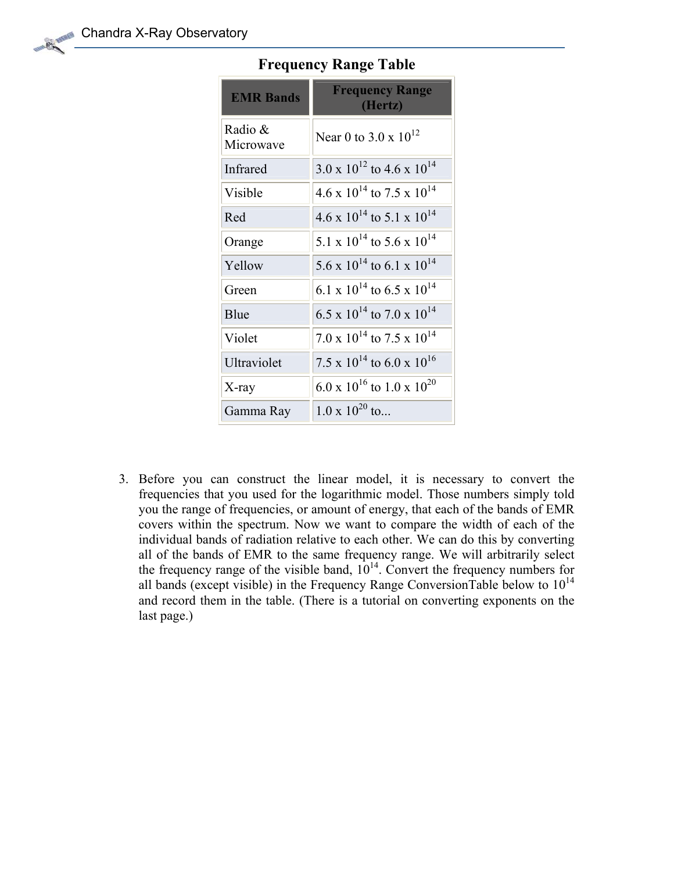| <b>EMR Bands</b>     | <b>Frequency Range</b><br>(Hertz)                |
|----------------------|--------------------------------------------------|
| Radio &<br>Microwave | Near 0 to 3.0 x $10^{12}$                        |
| Infrared             | $3.0 \times 10^{12}$ to 4.6 x $10^{14}$          |
| Visible              | 4.6 x $10^{14}$ to 7.5 x $10^{14}$               |
| Red                  | $4.6 \times 10^{14}$ to 5.1 x $10^{14}$          |
| Orange               | 5.1 x $10^{14}$ to 5.6 x $10^{14}$               |
| Yellow               | $5.6 \times 10^{14}$ to 6.1 x $10^{14}$          |
| Green                | 6.1 x $10^{14}$ to 6.5 x $10^{14}$               |
| Blue                 | $6.5 \times 10^{14}$ to $7.0 \times 10^{14}$     |
| Violet               | $7.0 \times 10^{14}$ to $7.5 \times 10^{14}$     |
| Ultraviolet          | 7.5 x $10^{14}$ to 6.0 x $10^{16}$               |
| $X$ -ray             | 6.0 x 10 <sup>16</sup> to 1.0 x 10 <sup>20</sup> |
| Gamma Ray            | $1.0 \times 10^{20}$ to                          |

## **Frequency Range Table**

3. Before you can construct the linear model, it is necessary to convert the frequencies that you used for the logarithmic model. Those numbers simply told you the range of frequencies, or amount of energy, that each of the bands of EMR covers within the spectrum. Now we want to compare the width of each of the individual bands of radiation relative to each other. We can do this by converting all of the bands of EMR to the same frequency range. We will arbitrarily select the frequency range of the visible band,  $10^{14}$ . Convert the frequency numbers for all bands (except visible) in the Frequency Range ConversionTable below to  $10^{14}$ and record them in the table. (There is a tutorial on converting exponents on the last page.)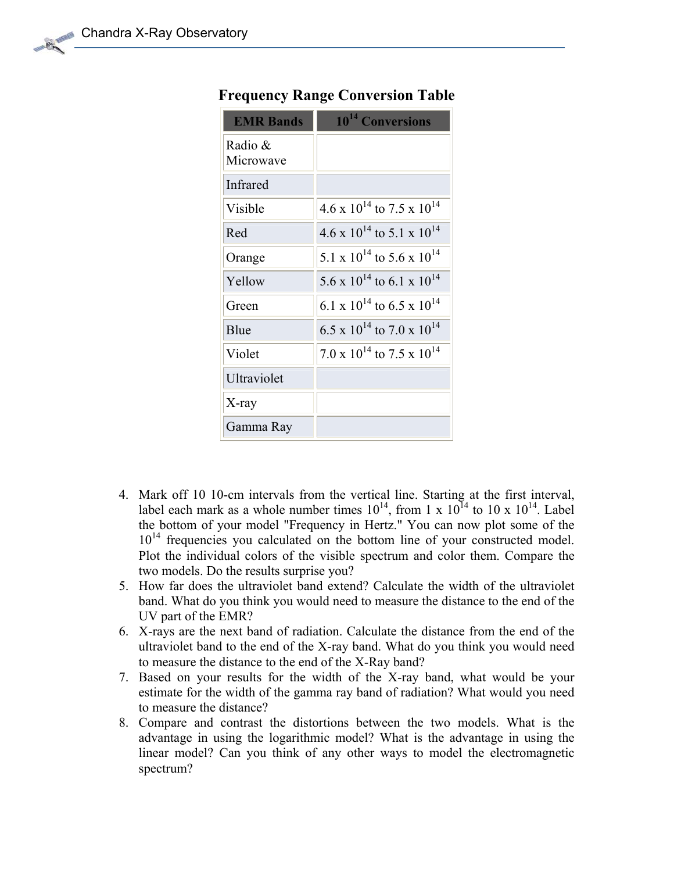| <b>EMR Bands</b>     | 10 <sup>14</sup> Conversions                 |
|----------------------|----------------------------------------------|
| Radio &<br>Microwave |                                              |
| Infrared             |                                              |
| Visible              | $4.6 \times 10^{14}$ to $7.5 \times 10^{14}$ |
| Red                  | $4.6 \times 10^{14}$ to 5.1 x $10^{14}$      |
| Orange               | $5.1 \times 10^{14}$ to $5.6 \times 10^{14}$ |
| Yellow               | $5.6 \times 10^{14}$ to 6.1 x $10^{14}$      |
| Green                | 6.1 x $10^{14}$ to 6.5 x $10^{14}$           |
| Blue                 | $6.5 \times 10^{14}$ to $7.0 \times 10^{14}$ |
| Violet               | $7.0 \times 10^{14}$ to $7.5 \times 10^{14}$ |
| Ultraviolet          |                                              |
| $X$ -ray             |                                              |
| Gamma Ray            |                                              |

## **Frequency Range Conversion Table**

- 4. Mark off 10 10-cm intervals from the vertical line. Starting at the first interval, label each mark as a whole number times  $10^{14}$ , from 1 x  $10^{14}$  to 10 x  $10^{14}$ . Label the bottom of your model "Frequency in Hertz." You can now plot some of the  $10^{14}$  frequencies you calculated on the bottom line of your constructed model. Plot the individual colors of the visible spectrum and color them. Compare the two models. Do the results surprise you?
- 5. How far does the ultraviolet band extend? Calculate the width of the ultraviolet band. What do you think you would need to measure the distance to the end of the UV part of the EMR?
- 6. X-rays are the next band of radiation. Calculate the distance from the end of the ultraviolet band to the end of the X-ray band. What do you think you would need to measure the distance to the end of the X-Ray band?
- 7. Based on your results for the width of the X-ray band, what would be your estimate for the width of the gamma ray band of radiation? What would you need to measure the distance?
- 8. Compare and contrast the distortions between the two models. What is the advantage in using the logarithmic model? What is the advantage in using the linear model? Can you think of any other ways to model the electromagnetic spectrum?